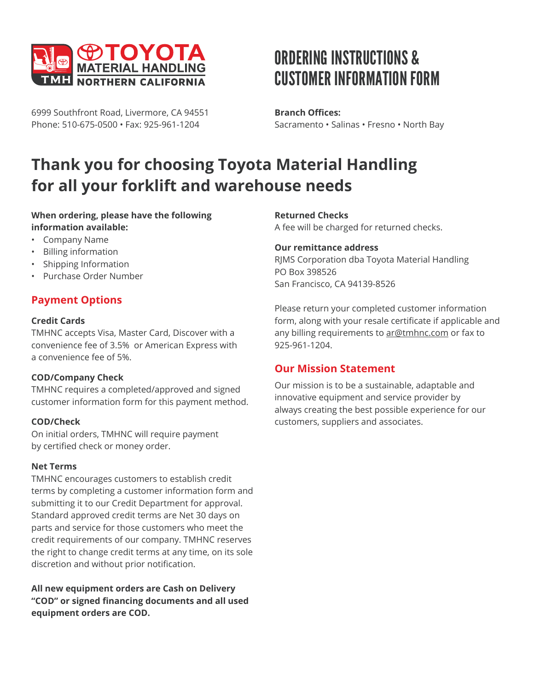

6999 Southfront Road, Livermore, CA 94551 Phone: 510-675-0500 • Fax: 925-961-1204

# ORDERING INSTRUCTIONS & CUSTOMER INFORMATION FORM

**Branch Offices:** Sacramento • Salinas • Fresno • North Bay

## **Thank you for choosing Toyota Material Handling for all your forklift and warehouse needs**

#### **When ordering, please have the following information available:**

- Company Name
- Billing information
- Shipping Information
- Purchase Order Number

## **Payment Options**

#### **Credit Cards**

TMHNC accepts Visa, Master Card, Discover with a convenience fee of 3.5% or American Express with a convenience fee of 5%.

#### **COD/Company Check**

TMHNC requires a completed/approved and signed customer information form for this payment method.

#### **COD/Check**

On initial orders, TMHNC will require payment by certified check or money order.

#### **Net Terms**

TMHNC encourages customers to establish credit terms by completing a customer information form and submitting it to our Credit Department for approval. Standard approved credit terms are Net 30 days on parts and service for those customers who meet the credit requirements of our company. TMHNC reserves the right to change credit terms at any time, on its sole discretion and without prior notification.

**All new equipment orders are Cash on Delivery "COD" or signed financing documents and all used equipment orders are COD.**

#### **Returned Checks**

A fee will be charged for returned checks.

#### **Our remittance address**

RJMS Corporation dba Toyota Material Handling PO Box 398526 San Francisco, CA 94139-8526

Please return your completed customer information form, along with your resale certificate if applicable and any billing requirements to [ar@tmhnc.com](mailto:ar%40tmhnc.com?subject=) or fax to 925-961-1204.

### **Our Mission Statement**

Our mission is to be a sustainable, adaptable and innovative equipment and service provider by always creating the best possible experience for our customers, suppliers and associates.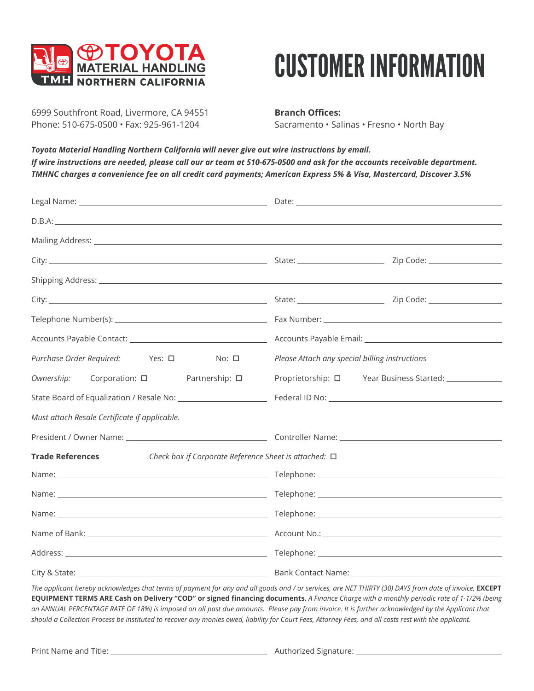

# CUSTOMER INFORMATION

6999 Southfront Road, Livermore, CA 94551 Phone: 510-675-0500 • Fax: 925-961-1204

**Branch Offices:** Sacramento • Salinas • Fresno • North Bay

*Toyota Material Handling Northern California will never give out wire instructions by email. If wire instructions are needed, please call our ar team at 510-675-0500 and ask for the accounts receivable department. TMHNC charges a convenience fee on all credit card payments; American Express 5% & Visa, Mastercard, Discover 3.5%*

| Mailing Address: Lawrence and Contract and Contract and Contract and Contract and Contract and Contract and Contract and Contract and Contract and Contract and Contract and Contract and Contract and Contract and Contract a |                                                                                                                                                                                                                               |  |  |
|--------------------------------------------------------------------------------------------------------------------------------------------------------------------------------------------------------------------------------|-------------------------------------------------------------------------------------------------------------------------------------------------------------------------------------------------------------------------------|--|--|
|                                                                                                                                                                                                                                |                                                                                                                                                                                                                               |  |  |
|                                                                                                                                                                                                                                |                                                                                                                                                                                                                               |  |  |
|                                                                                                                                                                                                                                |                                                                                                                                                                                                                               |  |  |
|                                                                                                                                                                                                                                |                                                                                                                                                                                                                               |  |  |
|                                                                                                                                                                                                                                |                                                                                                                                                                                                                               |  |  |
| Purchase Order Required: Yes: □ No: □                                                                                                                                                                                          | Please Attach any special billing instructions                                                                                                                                                                                |  |  |
| Corporation: □ Partnership: □<br>Ownership:                                                                                                                                                                                    | Proprietorship: 0 Year Business Started: 1 2022                                                                                                                                                                               |  |  |
| State Board of Equalization / Resale No: _________________________                                                                                                                                                             | Federal ID No: Note and the set of the set of the set of the set of the set of the set of the set of the set of the set of the set of the set of the set of the set of the set of the set of the set of the set of the set of |  |  |
| Must attach Resale Certificate if applicable.                                                                                                                                                                                  |                                                                                                                                                                                                                               |  |  |
|                                                                                                                                                                                                                                |                                                                                                                                                                                                                               |  |  |
| <b>Trade References</b><br>Check box if Corporate Reference Sheet is attached: $\square$                                                                                                                                       |                                                                                                                                                                                                                               |  |  |
|                                                                                                                                                                                                                                |                                                                                                                                                                                                                               |  |  |
| Name: Name and the second contract of the second contract of the second contract of the second contract of the second contract of the second contract of the second contract of the second contract of the second contract of  |                                                                                                                                                                                                                               |  |  |
|                                                                                                                                                                                                                                |                                                                                                                                                                                                                               |  |  |
|                                                                                                                                                                                                                                |                                                                                                                                                                                                                               |  |  |
|                                                                                                                                                                                                                                |                                                                                                                                                                                                                               |  |  |
|                                                                                                                                                                                                                                |                                                                                                                                                                                                                               |  |  |

The applicant hereby acknowledges that terms of payment for any and all goods and / or services, are NET THIRTY (30) DAYS from date of invoice, **EXCEPT EQUIPMENT TERMS ARE Cash on Delivery "COD" or signed financing documents.** *A Finance Charge with a monthly periodic rate of 1-1/2% (being an ANNUAL PERCENTAGE RATE OF 18%) is imposed on all past due amounts. Please pay from invoice. It is further acknowledged by the Applicant that should a Collection Process be instituted to recover any monies owed, liability for Court Fees, Attorney Fees, and all costs rest with the applicant.*

Print Name and Title: Authorized Signature: